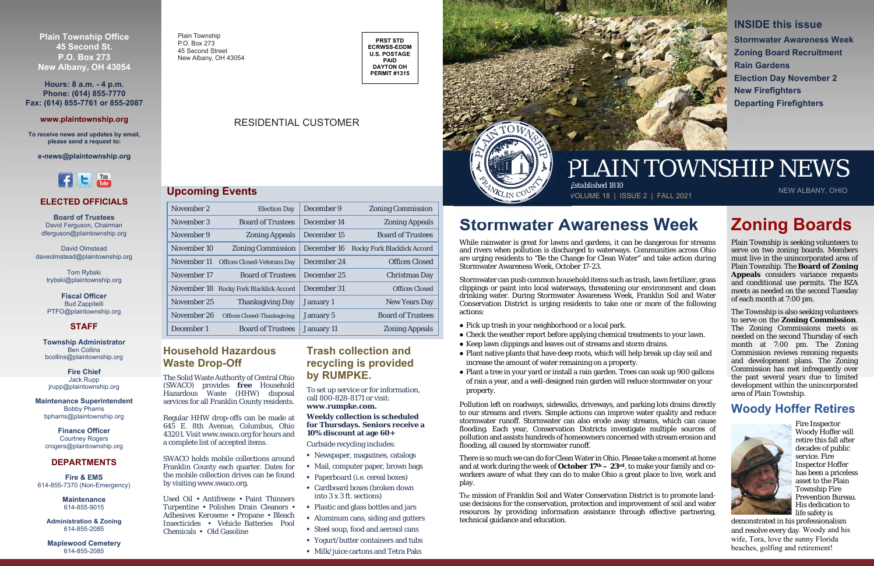Plain Township P.O. Box 27345 Second Street New Albany, OH 43054

## RESIDENTIAL CUSTOMER

**PRST STD ECRWSS-EDDM U.S. POSTAGE PAID DAYTON OH PERMIT #1315** 

## PLAIN TOWNSHIP NEWS



## **Stormwater Awareness Week**

While rainwater is great for lawns and gardens, it can be dangerous for streams and rivers when pollution is discharged to waterways. Communities across Ohio are urging residents to "Be the Change for Clean Water" and take action during Stormwater Awareness Week, October 17-23.

Stormwater can push common household items such as trash, lawn fertilizer, grass clippings or paint into local waterways, threatening our environment and clean drinking water. During Stormwater Awareness Week, Franklin Soil and Water Conservation District is urging residents to take one or more of the following actions:

- Pick up trash in your neighborhood or a local park.
- Check the weather report before applying chemical treatments to your lawn.
- Keep lawn clippings and leaves out of streams and storm drains.
- Plant native plants that have deep roots, which will help break up clay soil and increase the amount of water remaining on a property.
- Plant a tree in your yard or install a rain garden. Trees can soak up 900 gallons of rain a year, and a well-designed rain garden will reduce stormwater on your property.

Pollution left on roadways, sidewalks, driveways, and parking lots drains directly to our streams and rivers. Simple actions can improve water quality and reduce stormwater runoff. Stormwater can also erode away streams, which can cause flooding. Each year, Conservation Districts investigate multiple sources of pollution and assists hundreds of homeowners concerned with stream erosion and flooding, all caused by stormwater runoff.

There is so much we can do for Clean Water in Ohio. Please take a moment at home and at work during the week of **October 17th – 23rd**, to make your family and coworkers aware of what they can do to make Ohio a great place to live, work and play.

The mission of Franklin Soil and Water Conservation District is to promote landuse decisions for the conservation, protection and improvement of soil and water resources by providing information assistance through effective partnering, technical guidance and education.

**INSIDE this issue Stormwater Awareness Week Zoning Board Recruitment Rain Gardens Election Day November 2 New Firefighters Departing Firefighters** 

## **Zoning Boards**

Plain Township is seeking volunteers to serve on two zoning boards. Members must live in the unincorporated area of Plain Township. The **Board of Zoning Appeals** considers variance requests and conditional use permits. The BZA meets as needed on the second Tuesday of each month at 7:00 pm.

The Township is also seeking volunteers to serve on the **Zoning Commission**. The Zoning Commissions meets as needed on the second Thursday of each month at 7:00 pm. The Zoning Commission reviews rezoning requests and development plans. The Zoning Commission has met infrequently over the past several years due to limited development within the unincorporated area of Plain Township.

## **Woody Hoffer Retires**



Fire Inspector Woody Hoffer will retire this fall after decades of public service. Fire Inspector Hoffer has been a priceless asset to the Plain Township Fire Prevention Bureau. His dedication to life safety is

demonstrated in his professionalism and resolve every day. Woody and his wife, Tora, love the sunny Florida beaches, golfing and retirement!

**Plain Township Office 45 Second St. P.O. Box 273 New Albany, OH 43054** 

**Hours: 8 a.m. - 4 p.m. Phone: (614) 855-7770 Fax: (614) 855-7761 or 855-2087** 

#### **www.plaintownship.org**

**To receive news and updates by email, please send a request to:** 

**e-news@plaintownship.org** 



## **Upcoming Events**

| November 2  | <b>Election Day</b>                     | December 9       | <b>Zoning Commission</b>           |
|-------------|-----------------------------------------|------------------|------------------------------------|
| November 3  | <b>Board of Trustees</b>                | December 14      | <b>Zoning Appeals</b>              |
| November 9  | <b>Zoning Appeals</b>                   | December 15      | <b>Board of Trustees</b>           |
| November 10 | <b>Zoning Commission</b>                | December 16      | <b>Rocky Fork Blacklick Accord</b> |
| November 11 | <b>Offices Closed-Veterans Day</b>      | December 24      | <b>Offices Closed</b>              |
| November 17 | <b>Board of Trustees</b>                | December 25      | <b>Christmas Day</b>               |
|             | November 18 Rocky Fork Blacklick Accord | December 31      | <b>Offices Closed</b>              |
| November 25 | <b>Thanksgiving Day</b>                 | January 1        | <b>New Years Day</b>               |
| November 26 | <b>Offices Closed-Thanksgiving</b>      | <b>January 5</b> | <b>Board of Trustees</b>           |
| December 1  | <b>Board of Trustees</b>                | January 11       | <b>Zoning Appeals</b>              |

#### **ELECTED OFFICIALS**

**Board of Trustees** David Ferguson, Chairman dferguson@plaintownship.org

David Olmstead daveolmstead@plaintownship.org

> Tom Rybski trybski@plaintownship.org

**Fiscal Officer**Bud Zappitelli PTFO@plaintownship.org

### **STAFF**

**Township Administrator** Ben Collins bcollins@plaintownship.org

**Fire Chief**Jack Rupp jrupp@plaintownship.org

**Maintenance Superintendent** Bobby Pharris bpharris@plaintownship.org

**Finance Officer**  Courtney Rogers crogers@plaintownship.org

#### **DEPARTMENTS**

**Fire & EMS**614-855-7370 (Non-Emergency)

> **Maintenance** 614-855-9015

**Administration & Zoning**  614-855-2085

**Maplewood Cemetery**  614-855-2085

## **Household Hazardous Waste Drop-Off**

The Solid Waste Authority of Central Ohio (SWACO) provides **free** Household Hazardous Waste (HHW) disposal services for all Franklin County residents.

Regular HHW drop-offs can be made at 645 E. 8th Avenue, Columbus, Ohio 43201. Visit www.swaco.org for hours and a complete list of accepted items.

SWACO holds mobile collections around Franklin County each quarter. Dates for the mobile collection drives can be foundby visiting www.swaco.org.

Used Oil • Antifreeze • Paint Thinners Turpentine • Polishes Drain Cleaners • Adhesives Kerosene • Propane • Bleach Insecticides • Vehicle Batteries Pool Chemicals • Old Gasoline

## **Trash collection and recycling is provided by RUMPKE.**

To set up service or for information, call 800-828-8171 or visit: **www.rumpke.com.** 

### **Weekly collection is scheduled for Thursdays. Seniors receive a 10% discount at age 60+**

Curbside recycling includes:

- Newspaper, magazines, catalogs
- Mail, computer paper, brown bags
- Paperboard (i.e. cereal boxes)
- Cardboard boxes (broken down into 3 x 3 ft. sections)
- Plastic and glass bottles and jars
- Aluminum cans, siding and gutters
- Steel soup, food and aerosol cans
- Yogurt/butter containers and tubs
- Milk/juice cartons and Tetra Paks